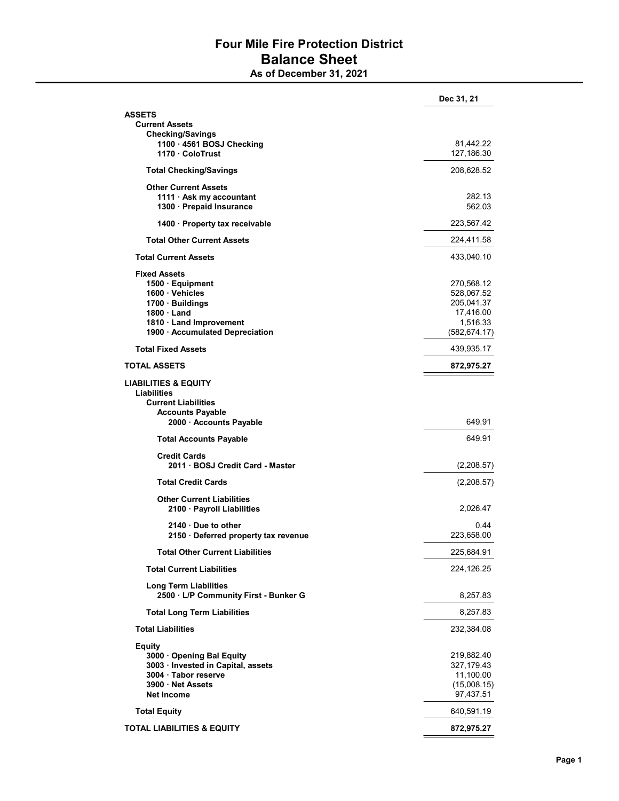## Four Mile Fire Protection District Balance Sheet

As of December 31, 2021

|                                                         | Dec 31, 21    |
|---------------------------------------------------------|---------------|
| ASSETS                                                  |               |
| <b>Current Assets</b>                                   |               |
| <b>Checking/Savings</b>                                 |               |
| 1100 - 4561 BOSJ Checking                               | 81,442.22     |
| 1170 · ColoTrust                                        | 127,186.30    |
| <b>Total Checking/Savings</b>                           | 208,628.52    |
| <b>Other Current Assets</b>                             |               |
| 1111 $\cdot$ Ask my accountant                          | 282.13        |
| 1300 - Prepaid Insurance                                | 562.03        |
| 1400 · Property tax receivable                          | 223,567.42    |
| <b>Total Other Current Assets</b>                       | 224,411.58    |
| <b>Total Current Assets</b>                             | 433,040.10    |
| <b>Fixed Assets</b>                                     |               |
| 1500 · Equipment                                        | 270,568.12    |
| 1600 · Vehicles                                         | 528,067.52    |
| 1700 · Buildings                                        | 205,041.37    |
| $1800 \cdot$ Land                                       | 17,416.00     |
| 1810 · Land Improvement                                 | 1,516.33      |
| 1900 · Accumulated Depreciation                         | (582, 674.17) |
| <b>Total Fixed Assets</b>                               | 439,935.17    |
| <b>TOTAL ASSETS</b>                                     | 872,975.27    |
| <b>LIABILITIES &amp; EQUITY</b>                         |               |
| Liabilities                                             |               |
|                                                         |               |
| <b>Current Liabilities</b>                              |               |
| <b>Accounts Payable</b><br>2000 · Accounts Payable      | 649.91        |
| <b>Total Accounts Payable</b>                           | 649.91        |
|                                                         |               |
| <b>Credit Cards</b><br>2011 · BOSJ Credit Card - Master | (2,208.57)    |
| <b>Total Credit Cards</b>                               | (2,208.57)    |
|                                                         |               |
| <b>Other Current Liabilities</b>                        |               |
| 2100 · Payroll Liabilities                              | 2,026.47      |
| 2140 Due to other                                       | 0.44          |
| 2150 Deferred property tax revenue                      | 223,658.00    |
| <b>Total Other Current Liabilities</b>                  | 225,684.91    |
| <b>Total Current Liabilities</b>                        | 224,126.25    |
| <b>Long Term Liabilities</b>                            |               |
| 2500 · L/P Community First - Bunker G                   | 8,257.83      |
| <b>Total Long Term Liabilities</b>                      | 8,257.83      |
| <b>Total Liabilities</b>                                | 232,384.08    |
| <b>Equity</b>                                           |               |
| 3000 Opening Bal Equity                                 | 219,882.40    |
| 3003 · Invested in Capital, assets                      | 327,179.43    |
| 3004 · Tabor reserve                                    | 11,100.00     |
| 3900 Net Assets                                         | (15,008.15)   |
| <b>Net Income</b>                                       | 97,437.51     |
| <b>Total Equity</b>                                     | 640,591.19    |
| <b>TOTAL LIABILITIES &amp; EQUITY</b>                   | 872,975.27    |
|                                                         |               |